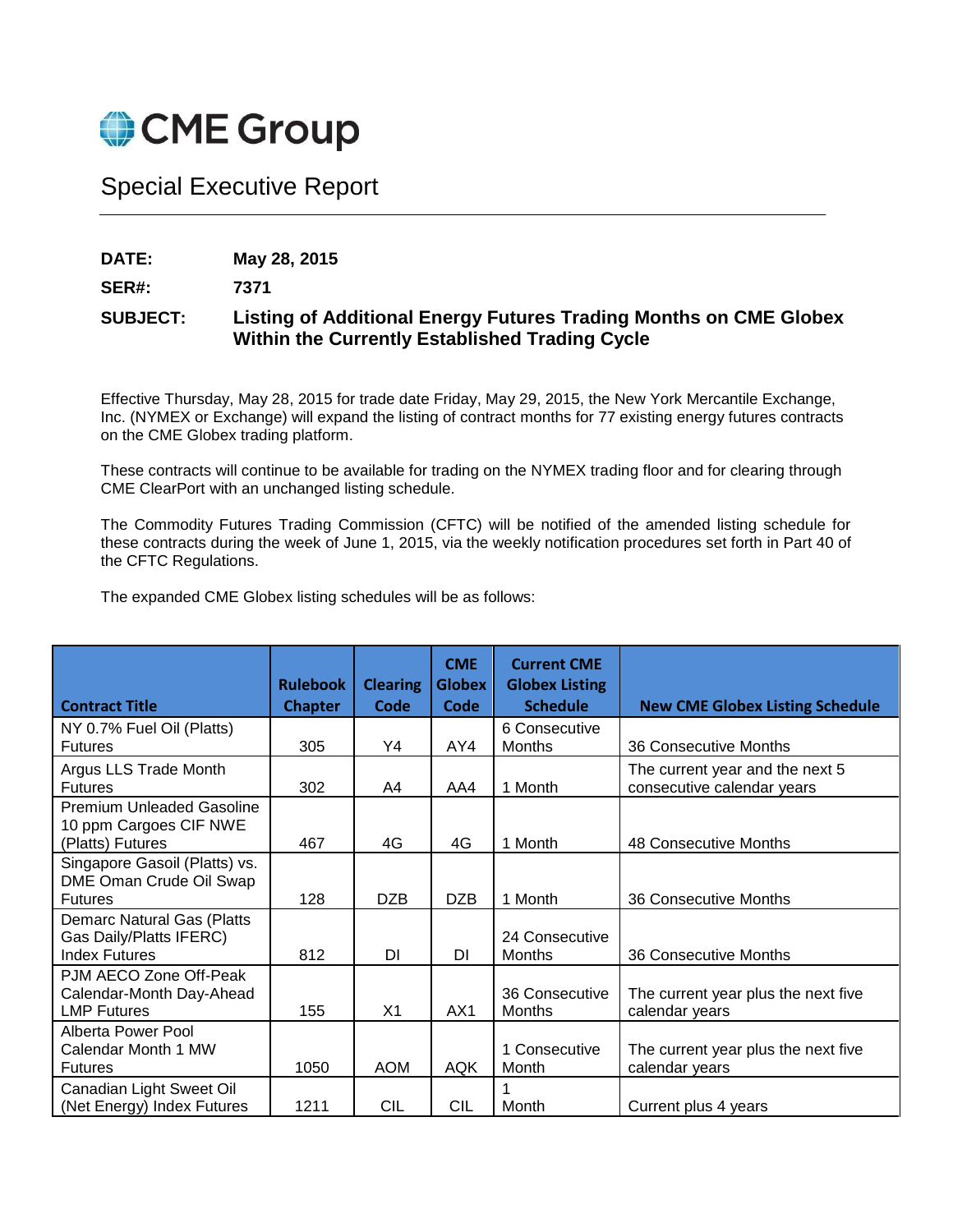

## Special Executive Report

**DATE: May 28, 2015**

**SER#: 7371**

## **SUBJECT: Listing of Additional Energy Futures Trading Months on CME Globex Within the Currently Established Trading Cycle**

Effective Thursday, May 28, 2015 for trade date Friday, May 29, 2015, the New York Mercantile Exchange, Inc. (NYMEX or Exchange) will expand the listing of contract months for 77 existing energy futures contracts on the CME Globex trading platform.

These contracts will continue to be available for trading on the NYMEX trading floor and for clearing through CME ClearPort with an unchanged listing schedule.

The Commodity Futures Trading Commission (CFTC) will be notified of the amended listing schedule for these contracts during the week of June 1, 2015, via the weekly notification procedures set forth in Part 40 of the CFTC Regulations.

The expanded CME Globex listing schedules will be as follows:

|                                                                                      | <b>Rulebook</b> | <b>Clearing</b> | <b>CME</b><br><b>Globex</b> | <b>Current CME</b><br><b>Globex Listing</b> |                                                               |
|--------------------------------------------------------------------------------------|-----------------|-----------------|-----------------------------|---------------------------------------------|---------------------------------------------------------------|
| <b>Contract Title</b>                                                                | <b>Chapter</b>  | Code            | <b>Code</b>                 | <b>Schedule</b>                             | <b>New CME Globex Listing Schedule</b>                        |
| NY 0.7% Fuel Oil (Platts)                                                            |                 |                 |                             | 6 Consecutive                               |                                                               |
| <b>Futures</b>                                                                       | 305             | Y4              | AY4                         | Months                                      | 36 Consecutive Months                                         |
| Argus LLS Trade Month<br><b>Futures</b>                                              | 302             | A4              | AA4                         | 1 Month                                     | The current year and the next 5<br>consecutive calendar years |
| <b>Premium Unleaded Gasoline</b><br>10 ppm Cargoes CIF NWE<br>(Platts) Futures       | 467             | 4G              | 4G                          | 1 Month                                     | 48 Consecutive Months                                         |
| Singapore Gasoil (Platts) vs.<br>DME Oman Crude Oil Swap<br><b>Futures</b>           | 128             | <b>DZB</b>      | <b>DZB</b>                  | 1 Month                                     | 36 Consecutive Months                                         |
| <b>Demarc Natural Gas (Platts</b><br>Gas Daily/Platts IFERC)<br><b>Index Futures</b> | 812             | DI              | DI                          | 24 Consecutive<br><b>Months</b>             | 36 Consecutive Months                                         |
| PJM AECO Zone Off-Peak<br>Calendar-Month Day-Ahead<br><b>LMP Futures</b>             | 155             | X <sub>1</sub>  | AX1                         | 36 Consecutive<br><b>Months</b>             | The current year plus the next five<br>calendar years         |
| Alberta Power Pool<br>Calendar Month 1 MW<br><b>Futures</b>                          | 1050            | <b>AOM</b>      | <b>AQK</b>                  | 1 Consecutive<br>Month                      | The current year plus the next five<br>calendar years         |
| Canadian Light Sweet Oil<br>(Net Energy) Index Futures                               | 1211            | CIL             | CIL                         | Month                                       | Current plus 4 years                                          |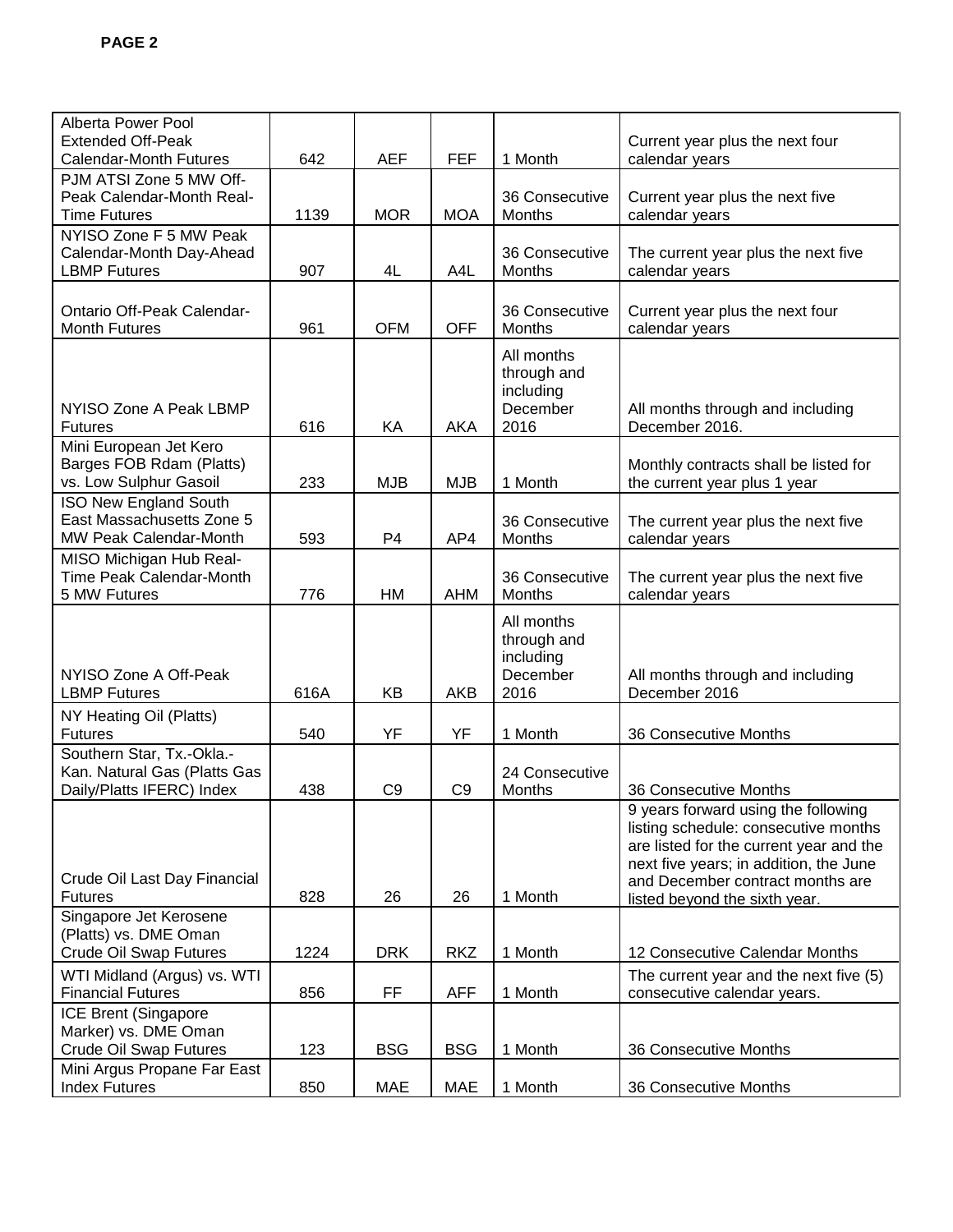| Alberta Power Pool                                  |      |                |                |                |                                         |
|-----------------------------------------------------|------|----------------|----------------|----------------|-----------------------------------------|
| <b>Extended Off-Peak</b>                            |      |                |                |                | Current year plus the next four         |
| <b>Calendar-Month Futures</b>                       | 642  | <b>AEF</b>     | <b>FEF</b>     | 1 Month        | calendar years                          |
| PJM ATSI Zone 5 MW Off-                             |      |                |                |                |                                         |
| Peak Calendar-Month Real-                           |      |                |                | 36 Consecutive | Current year plus the next five         |
| <b>Time Futures</b>                                 | 1139 | <b>MOR</b>     | <b>MOA</b>     | Months         | calendar years                          |
| NYISO Zone F 5 MW Peak                              |      |                |                |                |                                         |
| Calendar-Month Day-Ahead                            |      |                |                | 36 Consecutive | The current year plus the next five     |
| <b>LBMP Futures</b>                                 | 907  | 4L             | A4L            | Months         | calendar years                          |
|                                                     |      |                |                |                |                                         |
| Ontario Off-Peak Calendar-                          |      |                |                | 36 Consecutive | Current year plus the next four         |
| <b>Month Futures</b>                                | 961  | <b>OFM</b>     | <b>OFF</b>     | Months         | calendar years                          |
|                                                     |      |                |                | All months     |                                         |
|                                                     |      |                |                | through and    |                                         |
|                                                     |      |                |                | including      |                                         |
| NYISO Zone A Peak LBMP                              |      |                |                | December       | All months through and including        |
| <b>Futures</b>                                      | 616  | KA             | AKA            | 2016           | December 2016.                          |
| Mini European Jet Kero                              |      |                |                |                |                                         |
| Barges FOB Rdam (Platts)                            |      |                |                |                | Monthly contracts shall be listed for   |
| vs. Low Sulphur Gasoil                              | 233  | <b>MJB</b>     | <b>MJB</b>     | 1 Month        | the current year plus 1 year            |
| <b>ISO New England South</b>                        |      |                |                |                |                                         |
| East Massachusetts Zone 5                           |      |                |                | 36 Consecutive | The current year plus the next five     |
| MW Peak Calendar-Month                              | 593  | P4             | AP4            | Months         | calendar years                          |
| MISO Michigan Hub Real-                             |      |                |                |                |                                         |
| Time Peak Calendar-Month                            |      |                |                | 36 Consecutive | The current year plus the next five     |
| 5 MW Futures                                        | 776  | <b>HM</b>      | <b>AHM</b>     | Months         | calendar years                          |
|                                                     |      |                |                | All months     |                                         |
|                                                     |      |                |                | through and    |                                         |
|                                                     |      |                |                | including      |                                         |
| NYISO Zone A Off-Peak                               |      |                |                | December       | All months through and including        |
| <b>LBMP Futures</b>                                 | 616A | KB             | <b>AKB</b>     | 2016           | December 2016                           |
| NY Heating Oil (Platts)                             |      |                |                |                |                                         |
| <b>Futures</b>                                      | 540  | YF             | YF             | 1 Month        | 36 Consecutive Months                   |
| Southern Star, Tx.-Okla.-                           |      |                |                |                |                                         |
| Kan. Natural Gas (Platts Gas                        |      |                |                | 24 Consecutive |                                         |
| Daily/Platts IFERC) Index                           | 438  | C <sub>9</sub> | C <sub>9</sub> | Months         | 36 Consecutive Months                   |
|                                                     |      |                |                |                | 9 years forward using the following     |
|                                                     |      |                |                |                | listing schedule: consecutive months    |
|                                                     |      |                |                |                | are listed for the current year and the |
|                                                     |      |                |                |                | next five years; in addition, the June  |
| Crude Oil Last Day Financial                        |      |                |                |                |                                         |
| <b>Futures</b>                                      |      |                |                |                |                                         |
|                                                     | 828  | 26             | 26             | 1 Month        | and December contract months are        |
|                                                     |      |                |                |                | listed beyond the sixth year.           |
| Singapore Jet Kerosene<br>(Platts) vs. DME Oman     |      |                |                |                |                                         |
| <b>Crude Oil Swap Futures</b>                       | 1224 | <b>DRK</b>     | <b>RKZ</b>     | 1 Month        | 12 Consecutive Calendar Months          |
|                                                     |      |                |                |                |                                         |
| WTI Midland (Argus) vs. WTI                         |      |                |                |                | The current year and the next five (5)  |
| <b>Financial Futures</b>                            | 856  | FF.            | <b>AFF</b>     | 1 Month        | consecutive calendar years.             |
| ICE Brent (Singapore                                |      |                |                |                |                                         |
| Marker) vs. DME Oman                                |      |                |                |                |                                         |
| <b>Crude Oil Swap Futures</b>                       | 123  | <b>BSG</b>     | <b>BSG</b>     | 1 Month        | 36 Consecutive Months                   |
| Mini Argus Propane Far East<br><b>Index Futures</b> | 850  | <b>MAE</b>     | <b>MAE</b>     | 1 Month        | 36 Consecutive Months                   |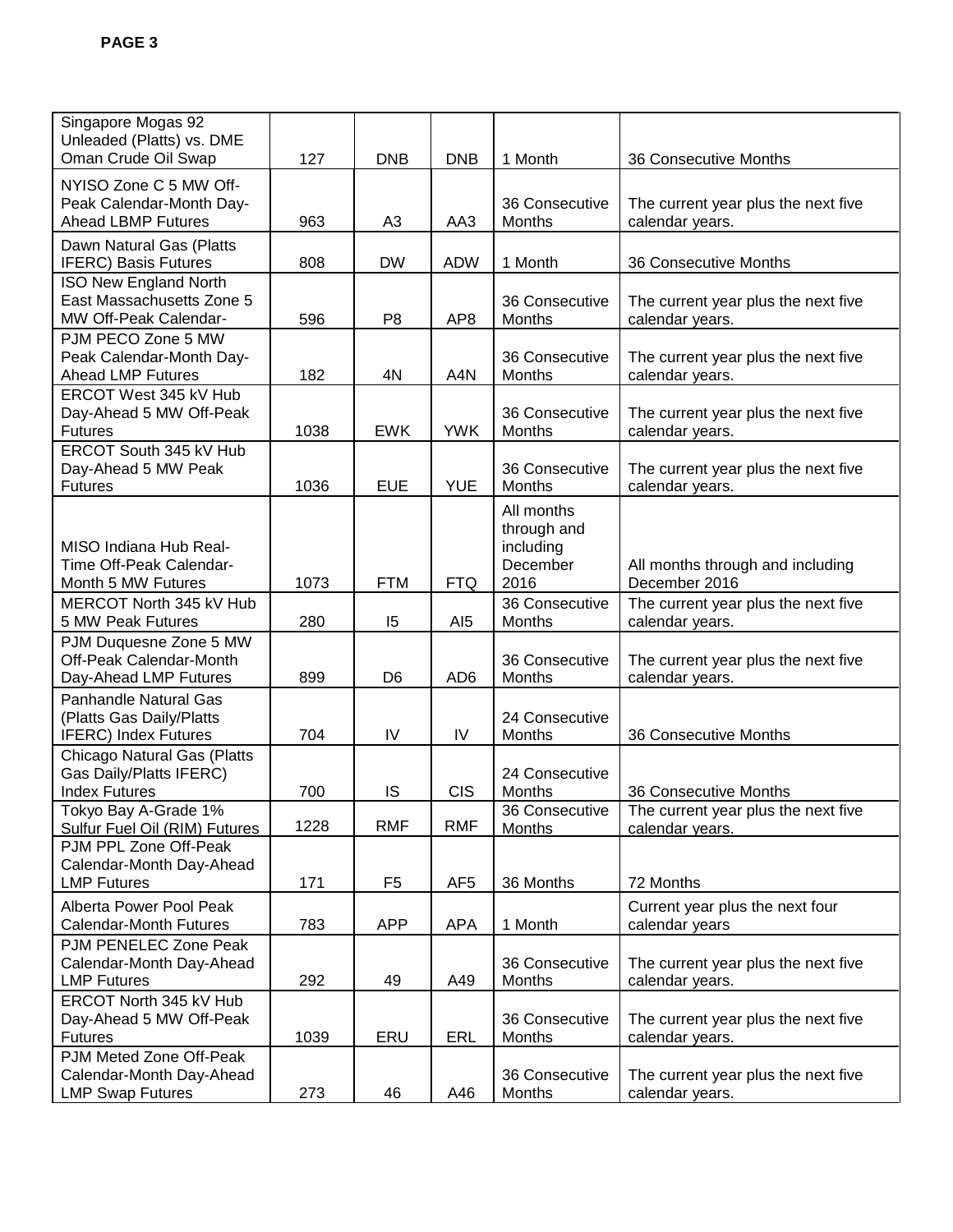| Singapore Mogas 92<br>Unleaded (Platts) vs. DME                                         |      |                |                 |                                                            |                                                        |
|-----------------------------------------------------------------------------------------|------|----------------|-----------------|------------------------------------------------------------|--------------------------------------------------------|
| Oman Crude Oil Swap                                                                     | 127  | <b>DNB</b>     | <b>DNB</b>      | 1 Month                                                    | 36 Consecutive Months                                  |
| NYISO Zone C 5 MW Off-<br>Peak Calendar-Month Day-<br><b>Ahead LBMP Futures</b>         | 963  | A <sub>3</sub> | AA3             | 36 Consecutive<br>Months                                   | The current year plus the next five<br>calendar years. |
| Dawn Natural Gas (Platts<br><b>IFERC) Basis Futures</b>                                 | 808  | <b>DW</b>      | <b>ADW</b>      | 1 Month                                                    | 36 Consecutive Months                                  |
| <b>ISO New England North</b><br>East Massachusetts Zone 5<br>MW Off-Peak Calendar-      | 596  | P <sub>8</sub> | AP <sub>8</sub> | 36 Consecutive<br>Months                                   | The current year plus the next five<br>calendar years. |
| PJM PECO Zone 5 MW<br>Peak Calendar-Month Day-<br><b>Ahead LMP Futures</b>              | 182  | 4N             | A4N             | 36 Consecutive<br>Months                                   | The current year plus the next five<br>calendar years. |
| ERCOT West 345 kV Hub<br>Day-Ahead 5 MW Off-Peak<br><b>Futures</b>                      | 1038 | <b>EWK</b>     | <b>YWK</b>      | 36 Consecutive<br>Months                                   | The current year plus the next five<br>calendar years. |
| ERCOT South 345 kV Hub<br>Day-Ahead 5 MW Peak<br><b>Futures</b>                         | 1036 | <b>EUE</b>     | <b>YUE</b>      | 36 Consecutive<br>Months                                   | The current year plus the next five<br>calendar years. |
| MISO Indiana Hub Real-<br>Time Off-Peak Calendar-<br>Month 5 MW Futures                 | 1073 | <b>FTM</b>     | <b>FTQ</b>      | All months<br>through and<br>including<br>December<br>2016 | All months through and including<br>December 2016      |
| MERCOT North 345 kV Hub<br>5 MW Peak Futures                                            | 280  | 15             | AI <sub>5</sub> | 36 Consecutive<br>Months                                   | The current year plus the next five<br>calendar years. |
| PJM Duquesne Zone 5 MW<br>Off-Peak Calendar-Month<br>Day-Ahead LMP Futures              | 899  | D <sub>6</sub> | AD <sub>6</sub> | 36 Consecutive<br>Months                                   | The current year plus the next five<br>calendar years. |
| <b>Panhandle Natural Gas</b><br>(Platts Gas Daily/Platts<br><b>IFERC)</b> Index Futures | 704  | IV             | IV              | 24 Consecutive<br>Months                                   | 36 Consecutive Months                                  |
| <b>Chicago Natural Gas (Platts</b><br>Gas Daily/Platts IFERC)<br><b>Index Futures</b>   | 700  | <b>IS</b>      | <b>CIS</b>      | 24 Consecutive<br>Months                                   | 36 Consecutive Months                                  |
| Tokyo Bay A-Grade 1%<br>Sulfur Fuel Oil (RIM) Futures                                   | 1228 | <b>RMF</b>     | <b>RMF</b>      | 36 Consecutive<br>Months                                   | The current year plus the next five<br>calendar years. |
| PJM PPL Zone Off-Peak<br>Calendar-Month Day-Ahead<br><b>LMP Futures</b>                 | 171  | F <sub>5</sub> | AF <sub>5</sub> | 36 Months                                                  | 72 Months                                              |
| Alberta Power Pool Peak<br><b>Calendar-Month Futures</b>                                | 783  | <b>APP</b>     | <b>APA</b>      | 1 Month                                                    | Current year plus the next four<br>calendar years      |
| PJM PENELEC Zone Peak<br>Calendar-Month Day-Ahead<br><b>LMP Futures</b>                 | 292  | 49             | A49             | 36 Consecutive<br>Months                                   | The current year plus the next five<br>calendar years. |
| ERCOT North 345 kV Hub<br>Day-Ahead 5 MW Off-Peak<br><b>Futures</b>                     | 1039 | ERU            | <b>ERL</b>      | 36 Consecutive<br>Months                                   | The current year plus the next five<br>calendar years. |
| PJM Meted Zone Off-Peak<br>Calendar-Month Day-Ahead<br><b>LMP Swap Futures</b>          | 273  | 46             | A46             | 36 Consecutive<br>Months                                   | The current year plus the next five<br>calendar years. |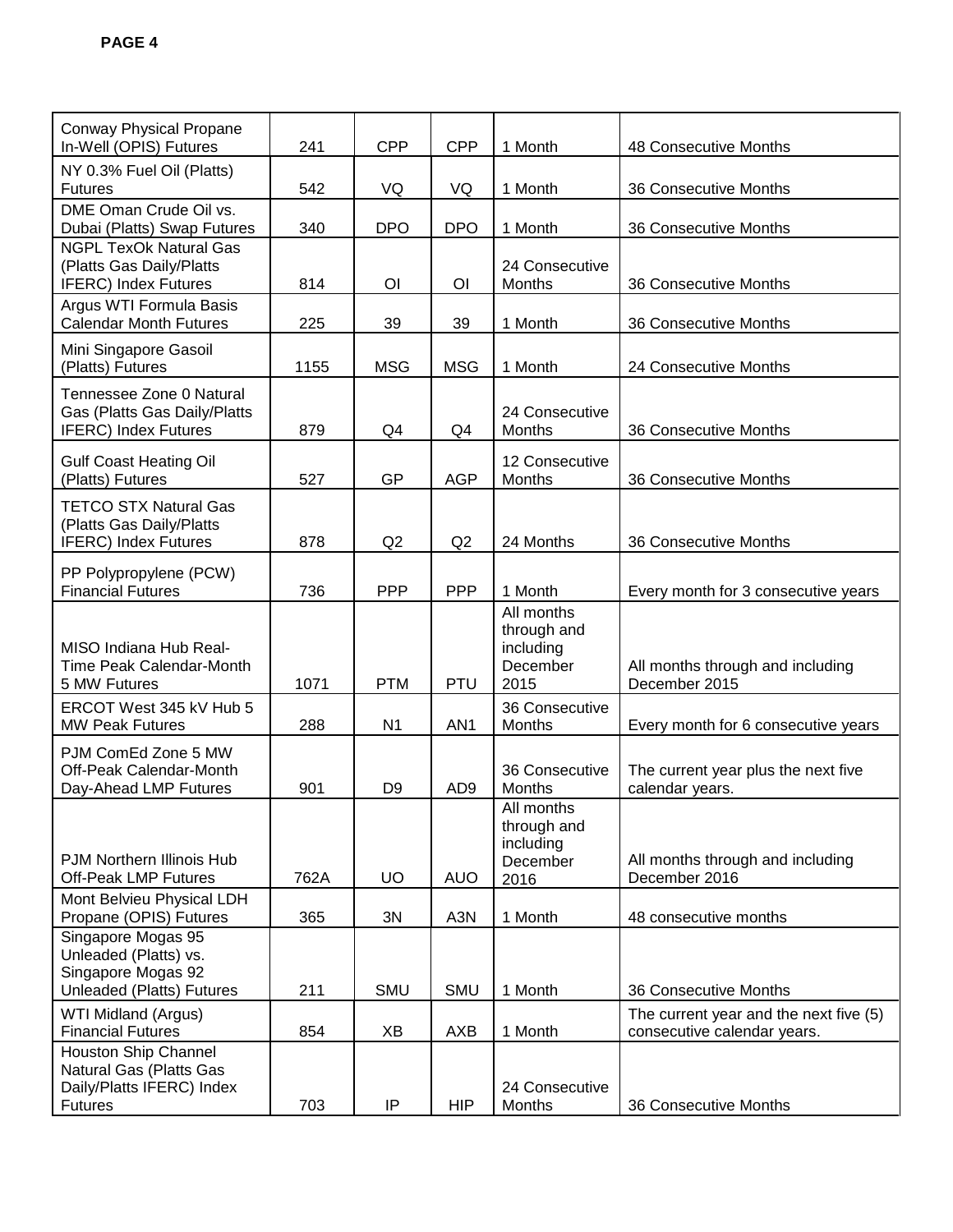| <b>Conway Physical Propane</b><br>In-Well (OPIS) Futures                                       | 241  | <b>CPP</b>     | <b>CPP</b>       | 1 Month                                                    | 48 Consecutive Months                                                 |
|------------------------------------------------------------------------------------------------|------|----------------|------------------|------------------------------------------------------------|-----------------------------------------------------------------------|
| NY 0.3% Fuel Oil (Platts)<br><b>Futures</b>                                                    | 542  | VQ             | VQ               | 1 Month                                                    | 36 Consecutive Months                                                 |
| DME Oman Crude Oil vs.<br>Dubai (Platts) Swap Futures                                          | 340  | <b>DPO</b>     | <b>DPO</b>       | 1 Month                                                    | 36 Consecutive Months                                                 |
| <b>NGPL TexOk Natural Gas</b><br>(Platts Gas Daily/Platts<br><b>IFERC)</b> Index Futures       | 814  | OI             | OI               | 24 Consecutive<br>Months                                   | 36 Consecutive Months                                                 |
| Argus WTI Formula Basis<br><b>Calendar Month Futures</b>                                       | 225  | 39             | 39               | 1 Month                                                    | 36 Consecutive Months                                                 |
| Mini Singapore Gasoil<br>(Platts) Futures                                                      | 1155 | <b>MSG</b>     | <b>MSG</b>       | 1 Month                                                    | 24 Consecutive Months                                                 |
| Tennessee Zone 0 Natural<br>Gas (Platts Gas Daily/Platts<br><b>IFERC)</b> Index Futures        | 879  | Q4             | Q4               | 24 Consecutive<br>Months                                   | 36 Consecutive Months                                                 |
| <b>Gulf Coast Heating Oil</b><br>(Platts) Futures                                              | 527  | GP             | <b>AGP</b>       | 12 Consecutive<br>Months                                   | 36 Consecutive Months                                                 |
| <b>TETCO STX Natural Gas</b><br>(Platts Gas Daily/Platts<br>IFERC) Index Futures               | 878  | Q2             | Q2               | 24 Months                                                  | 36 Consecutive Months                                                 |
| PP Polypropylene (PCW)<br><b>Financial Futures</b>                                             | 736  | <b>PPP</b>     | <b>PPP</b>       | 1 Month                                                    | Every month for 3 consecutive years                                   |
| MISO Indiana Hub Real-<br>Time Peak Calendar-Month<br>5 MW Futures                             | 1071 | <b>PTM</b>     | <b>PTU</b>       | All months<br>through and<br>including<br>December<br>2015 | All months through and including<br>December 2015                     |
| ERCOT West 345 kV Hub 5<br><b>MW Peak Futures</b>                                              | 288  | N <sub>1</sub> | AN <sub>1</sub>  | 36 Consecutive<br>Months                                   | Every month for 6 consecutive years                                   |
| PJM ComEd Zone 5 MW<br>Off-Peak Calendar-Month<br>Day-Ahead LMP Futures                        | 901  | D <sub>9</sub> | AD <sub>9</sub>  | 36 Consecutive<br>Months                                   | The current year plus the next five<br>calendar years.                |
| <b>PJM Northern Illinois Hub</b><br><b>Off-Peak LMP Futures</b>                                | 762A | <b>UO</b>      | <b>AUO</b>       | All months<br>through and<br>including<br>December<br>2016 | All months through and including<br>December 2016                     |
| Mont Belvieu Physical LDH<br>Propane (OPIS) Futures                                            | 365  | 3N             | A <sub>3</sub> N | 1 Month                                                    | 48 consecutive months                                                 |
| Singapore Mogas 95<br>Unleaded (Platts) vs.<br>Singapore Mogas 92<br>Unleaded (Platts) Futures | 211  | <b>SMU</b>     | SMU              | 1 Month                                                    | 36 Consecutive Months                                                 |
| WTI Midland (Argus)<br><b>Financial Futures</b>                                                | 854  | XB             | AXB              | 1 Month                                                    | The current year and the next five (5)<br>consecutive calendar years. |
| Houston Ship Channel<br>Natural Gas (Platts Gas<br>Daily/Platts IFERC) Index<br><b>Futures</b> | 703  | IP             | <b>HIP</b>       | 24 Consecutive<br>Months                                   | 36 Consecutive Months                                                 |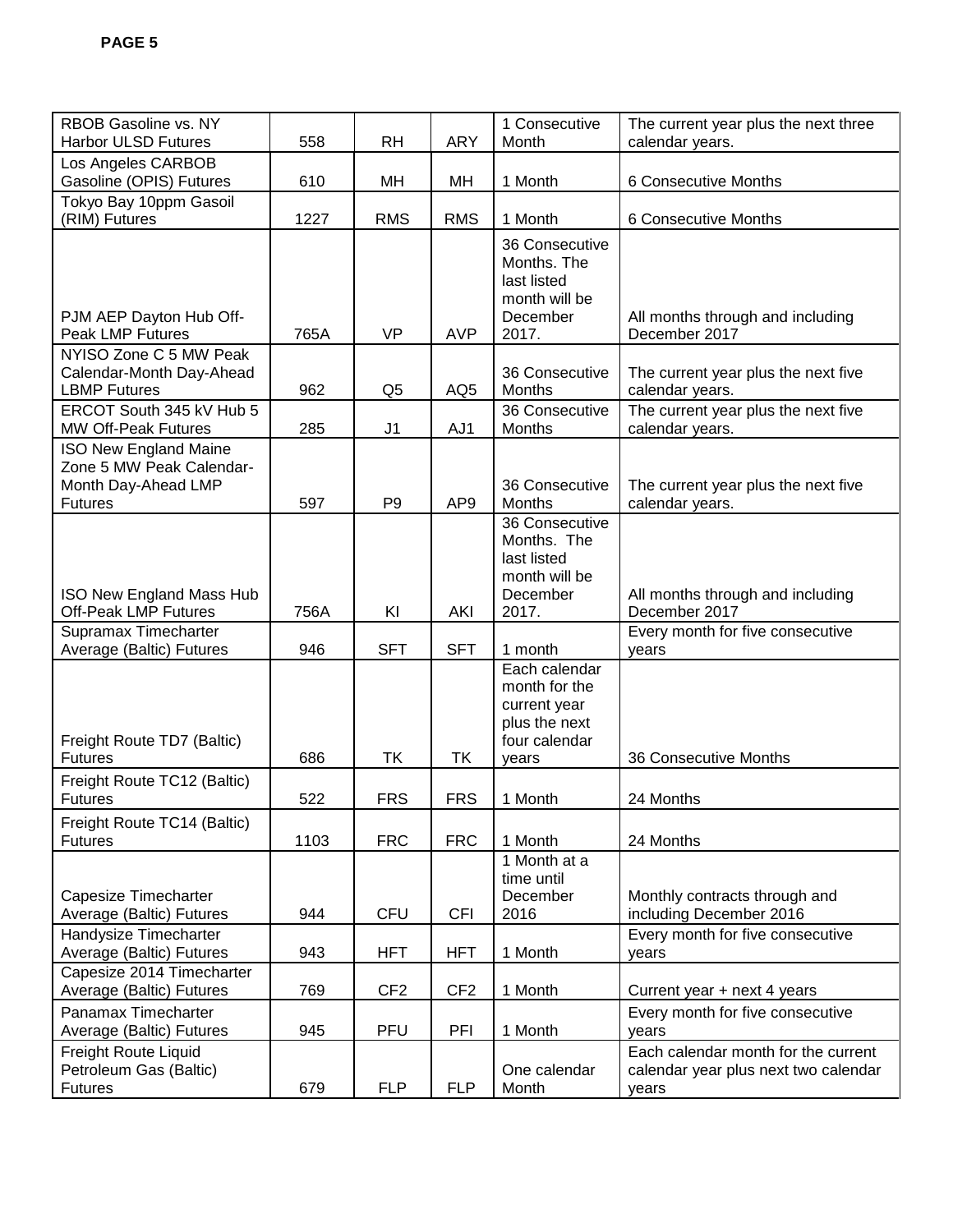| RBOB Gasoline vs. NY<br><b>Harbor ULSD Futures</b>                                                | 558         | <b>RH</b>                | <b>ARY</b>               | 1 Consecutive<br>Month                                                                    | The current year plus the next three<br>calendar years.                              |
|---------------------------------------------------------------------------------------------------|-------------|--------------------------|--------------------------|-------------------------------------------------------------------------------------------|--------------------------------------------------------------------------------------|
| Los Angeles CARBOB<br>Gasoline (OPIS) Futures                                                     | 610         | MH                       | MH                       | 1 Month                                                                                   | 6 Consecutive Months                                                                 |
| Tokyo Bay 10ppm Gasoil<br>(RIM) Futures                                                           | 1227        | <b>RMS</b>               | <b>RMS</b>               | 1 Month                                                                                   | 6 Consecutive Months                                                                 |
| PJM AEP Dayton Hub Off-<br><b>Peak LMP Futures</b>                                                | 765A        | <b>VP</b>                | <b>AVP</b>               | 36 Consecutive<br>Months. The<br>last listed<br>month will be<br>December<br>2017.        | All months through and including<br>December 2017                                    |
| NYISO Zone C 5 MW Peak<br>Calendar-Month Day-Ahead<br><b>LBMP Futures</b>                         | 962         | Q <sub>5</sub>           | AQ <sub>5</sub>          | 36 Consecutive<br>Months                                                                  | The current year plus the next five<br>calendar years.                               |
| ERCOT South 345 kV Hub 5<br><b>MW Off-Peak Futures</b>                                            | 285         | J <sub>1</sub>           | AJ1                      | 36 Consecutive<br>Months                                                                  | The current year plus the next five<br>calendar years.                               |
| <b>ISO New England Maine</b><br>Zone 5 MW Peak Calendar-<br>Month Day-Ahead LMP<br><b>Futures</b> | 597         | P <sub>9</sub>           | AP <sub>9</sub>          | 36 Consecutive<br>Months                                                                  | The current year plus the next five<br>calendar years.                               |
| <b>ISO New England Mass Hub</b><br>Off-Peak LMP Futures                                           | 756A        | KI                       | <b>AKI</b>               | 36 Consecutive<br>Months. The<br>last listed<br>month will be<br>December<br>2017.        | All months through and including<br>December 2017                                    |
| Supramax Timecharter<br>Average (Baltic) Futures                                                  | 946         | <b>SFT</b>               | <b>SFT</b>               | 1 month                                                                                   | Every month for five consecutive<br>years                                            |
| Freight Route TD7 (Baltic)<br><b>Futures</b>                                                      | 686         | TK                       | TK                       | Each calendar<br>month for the<br>current year<br>plus the next<br>four calendar<br>years | 36 Consecutive Months                                                                |
| Freight Route TC12 (Baltic)                                                                       |             |                          |                          |                                                                                           |                                                                                      |
| <b>Futures</b><br>Freight Route TC14 (Baltic)<br><b>Futures</b>                                   | 522<br>1103 | <b>FRS</b><br><b>FRC</b> | <b>FRS</b><br><b>FRC</b> | 1 Month<br>1 Month                                                                        | 24 Months<br>24 Months                                                               |
| Capesize Timecharter<br>Average (Baltic) Futures                                                  | 944         | CFU                      | <b>CFI</b>               | 1 Month at a<br>time until<br>December<br>2016                                            | Monthly contracts through and<br>including December 2016                             |
| Handysize Timecharter<br>Average (Baltic) Futures                                                 | 943         | <b>HFT</b>               | <b>HFT</b>               | 1 Month                                                                                   | Every month for five consecutive<br>years                                            |
| Capesize 2014 Timecharter<br>Average (Baltic) Futures                                             | 769         | CF <sub>2</sub>          | CF <sub>2</sub>          | 1 Month                                                                                   | Current year + next 4 years                                                          |
| Panamax Timecharter<br>Average (Baltic) Futures                                                   | 945         | <b>PFU</b>               | PFI                      | 1 Month                                                                                   | Every month for five consecutive<br>years                                            |
| Freight Route Liquid<br>Petroleum Gas (Baltic)<br><b>Futures</b>                                  | 679         | <b>FLP</b>               | <b>FLP</b>               | One calendar<br>Month                                                                     | Each calendar month for the current<br>calendar year plus next two calendar<br>years |